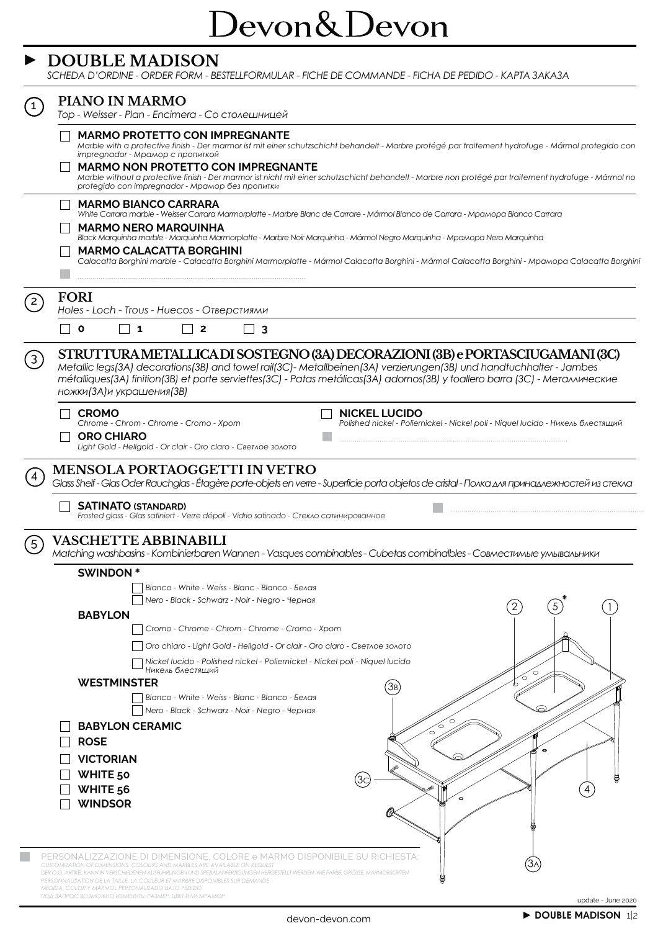## Devon&Devon

#### **► DOUBLE MADISON**

*SCHEDA D'ORDINE - ORDER FORM - BESTELLFORMULAR - FICHE DE COMMANDE - FICHA DE PEDIDO - KАРТА ЗАКАЗА*

|             | PIANO IN MARMO<br>Top - Weisser - Plan - Encimera - Со столешницей                                                                                                                                                                                                                                                                                              |  |  |  |  |  |  |  |  |  |  |  |  |  |
|-------------|-----------------------------------------------------------------------------------------------------------------------------------------------------------------------------------------------------------------------------------------------------------------------------------------------------------------------------------------------------------------|--|--|--|--|--|--|--|--|--|--|--|--|--|
|             | <b>MARMO PROTETTO CON IMPREGNANTE</b><br>Marble with a protective finish - Der marmor ist mit einer schutzschicht behandelt - Marbre protégé par traitement hydrofuge - Mármol protegido con                                                                                                                                                                    |  |  |  |  |  |  |  |  |  |  |  |  |  |
|             | impregnador - Мрамор с пропиткой                                                                                                                                                                                                                                                                                                                                |  |  |  |  |  |  |  |  |  |  |  |  |  |
|             | <b>MARMO NON PROTETTO CON IMPREGNANTE</b><br>Marble without a protective finish - Der marmor ist nicht mit einer schutzschicht behandelt - Marbre non protégé par traitement hydrofuge - Mármol no                                                                                                                                                              |  |  |  |  |  |  |  |  |  |  |  |  |  |
|             | protegido con impregnador - Мрамор без пропитки                                                                                                                                                                                                                                                                                                                 |  |  |  |  |  |  |  |  |  |  |  |  |  |
|             | <b>MARMO BIANCO CARRARA</b><br>White Carrara marble - Weisser Carrara Marmorplatte - Marbre Blanc de Carrare - Mármol Blanco de Carrara - Mpamopa Bianco Carrara                                                                                                                                                                                                |  |  |  |  |  |  |  |  |  |  |  |  |  |
|             | <b>MARMO NERO MARQUINHA</b>                                                                                                                                                                                                                                                                                                                                     |  |  |  |  |  |  |  |  |  |  |  |  |  |
|             | Black Marquinha marble - Marquinha Marmorplatte - Marbre Noir Marquinha - Mármol Negro Marquinha - Mpamopa Nero Marquinha<br><b>MARMO CALACATTA BORGHINI</b>                                                                                                                                                                                                    |  |  |  |  |  |  |  |  |  |  |  |  |  |
|             | Calacatta Borghini marble - Calacatta Borghini Marmorplatte - Mármol Calacatta Borghini - Mármol Calacatta Borghini - Mpamopa Calacatta Borghini                                                                                                                                                                                                                |  |  |  |  |  |  |  |  |  |  |  |  |  |
|             |                                                                                                                                                                                                                                                                                                                                                                 |  |  |  |  |  |  |  |  |  |  |  |  |  |
| $2^{\circ}$ | <b>FORI</b>                                                                                                                                                                                                                                                                                                                                                     |  |  |  |  |  |  |  |  |  |  |  |  |  |
|             | Holes - Loch - Trous - Huecos - Отверстиями                                                                                                                                                                                                                                                                                                                     |  |  |  |  |  |  |  |  |  |  |  |  |  |
|             | $\mathbf{o}$<br>1<br>2<br>3                                                                                                                                                                                                                                                                                                                                     |  |  |  |  |  |  |  |  |  |  |  |  |  |
| (3)         | STRUTTURA METALLICA DI SOSTEGNO (3A) DECORAZIONI (3B) e PORTASCIUGAMANI (3C)<br>Metallic legs(3A) decorations(3B) and towel rail(3C)- Metallbeinen(3A) verzierungen(3B) und handtuchhalter - Jambes<br>métalliques(3A) finition(3B) et porte serviettes(3C) - Patas metálicas(3A) adornos(3B) y toallero barra (3C) - Металлические<br>ножки(ЗА)и украшения(ЗВ) |  |  |  |  |  |  |  |  |  |  |  |  |  |
|             | <b>CROMO</b><br><b>NICKEL LUCIDO</b>                                                                                                                                                                                                                                                                                                                            |  |  |  |  |  |  |  |  |  |  |  |  |  |
|             | Chrome - Chrom - Chrome - Cromo - Xpom<br>Polished nickel - Poliernickel - Nickel poli - Niquel Iucido - Никель блестящий                                                                                                                                                                                                                                       |  |  |  |  |  |  |  |  |  |  |  |  |  |
|             | <b>ORO CHIARO</b><br>Light Gold - Hellgold - Or clair - Oro claro - Светлое золото                                                                                                                                                                                                                                                                              |  |  |  |  |  |  |  |  |  |  |  |  |  |
| 5           | Frosted glass - Glas satiniert - Verre dépoli - Vidrio satinado - Стекло сатинированное<br><b>VASCHETTE ABBINABILI</b>                                                                                                                                                                                                                                          |  |  |  |  |  |  |  |  |  |  |  |  |  |
|             | Matching washbasins - Kombinierbaren Wannen - Vasques combinables - Cubetas combinalbles - Совместимые умывальники                                                                                                                                                                                                                                              |  |  |  |  |  |  |  |  |  |  |  |  |  |
|             | <b>SWINDON*</b><br>Bianco - White - Weiss - Blanc - Blanco - Белая                                                                                                                                                                                                                                                                                              |  |  |  |  |  |  |  |  |  |  |  |  |  |
|             | Nero - Black - Schwarz - Noir - Negro - Черная                                                                                                                                                                                                                                                                                                                  |  |  |  |  |  |  |  |  |  |  |  |  |  |
|             | 2<br>5<br><b>BABYLON</b>                                                                                                                                                                                                                                                                                                                                        |  |  |  |  |  |  |  |  |  |  |  |  |  |
|             | Cromo - Chrome - Chrom - Chrome - Cromo - Xpom                                                                                                                                                                                                                                                                                                                  |  |  |  |  |  |  |  |  |  |  |  |  |  |
|             | Oro chiaro - Light Gold - Hellgold - Or clair - Oro claro - Светлое золото                                                                                                                                                                                                                                                                                      |  |  |  |  |  |  |  |  |  |  |  |  |  |
|             | Nickel lucido - Polished nickel - Poliernickel - Nickel poli - Niquel lucido<br>Никель блестящий                                                                                                                                                                                                                                                                |  |  |  |  |  |  |  |  |  |  |  |  |  |
|             | <b>WESTMINSTER</b><br>(3B)                                                                                                                                                                                                                                                                                                                                      |  |  |  |  |  |  |  |  |  |  |  |  |  |
|             | Bianco - White - Weiss - Blanc - Blanco - Белая                                                                                                                                                                                                                                                                                                                 |  |  |  |  |  |  |  |  |  |  |  |  |  |
|             | Nero - Black - Schwarz - Noir - Negro - Черная                                                                                                                                                                                                                                                                                                                  |  |  |  |  |  |  |  |  |  |  |  |  |  |
|             | <b>BABYLON CERAMIC</b>                                                                                                                                                                                                                                                                                                                                          |  |  |  |  |  |  |  |  |  |  |  |  |  |
|             | <b>ROSE</b>                                                                                                                                                                                                                                                                                                                                                     |  |  |  |  |  |  |  |  |  |  |  |  |  |
|             | <b>VICTORIAN</b><br><b>WHITE 50</b>                                                                                                                                                                                                                                                                                                                             |  |  |  |  |  |  |  |  |  |  |  |  |  |
|             | (3c)<br>WHITE 56                                                                                                                                                                                                                                                                                                                                                |  |  |  |  |  |  |  |  |  |  |  |  |  |
|             | <b>WINDSOR</b>                                                                                                                                                                                                                                                                                                                                                  |  |  |  |  |  |  |  |  |  |  |  |  |  |
|             |                                                                                                                                                                                                                                                                                                                                                                 |  |  |  |  |  |  |  |  |  |  |  |  |  |
|             |                                                                                                                                                                                                                                                                                                                                                                 |  |  |  |  |  |  |  |  |  |  |  |  |  |
|             | PERSONALIZZAZIONE DI DIMENSIONE, COLORE e MARMO DISPONIBILE SU RICHIESTA:                                                                                                                                                                                                                                                                                       |  |  |  |  |  |  |  |  |  |  |  |  |  |
|             | CUSTOMIZATION OF DIMENSIONS, COLOURS AND MARBLES ARE AVAILABLE ON REQUEST<br>DENEN AUSFÜHRUNGEN UND SPEZIALANFERTIGUNGEN HERGESTELLT WERDEN: WIE FARBE, GRÖSSE, MARMORSORTEN                                                                                                                                                                                    |  |  |  |  |  |  |  |  |  |  |  |  |  |
|             | PERSONNALISATION DE LA TAILLE, LA COULEUR ET MARBRE DISPONIBLES SUR DEMANDE<br>MEDIDA, COLOR Y MÁRMOL PERSONALIZADO BAJO PEDIDO<br>ПОД ЗАПРОС ВОЗМОЖНО ИЗМЕНИТЬ: РАЗМЕР, ЦВЕТ ИЛИ МРАМОР                                                                                                                                                                        |  |  |  |  |  |  |  |  |  |  |  |  |  |
|             | update - June 2020                                                                                                                                                                                                                                                                                                                                              |  |  |  |  |  |  |  |  |  |  |  |  |  |